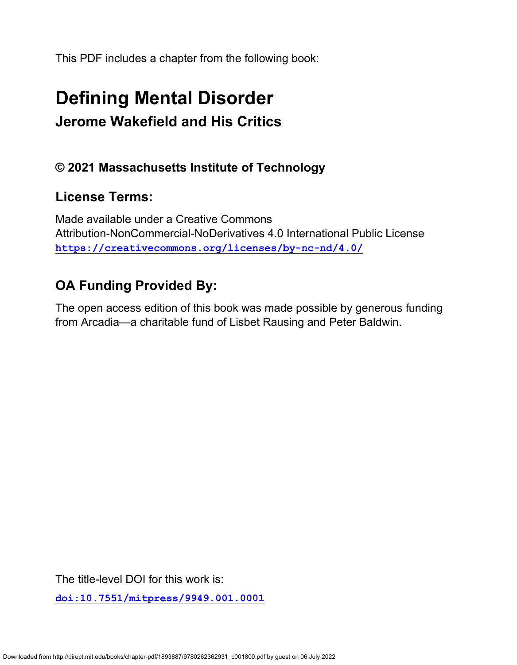This PDF includes a chapter from the following book:

# **Defining Mental Disorder Jerome Wakefield and His Critics**

### **© 2021 Massachusetts Institute of Technology**

## **License Terms:**

Made available under a Creative Commons Attribution-NonCommercial-NoDerivatives 4.0 International Public License **<https://creativecommons.org/licenses/by-nc-nd/4.0/>**

# **OA Funding Provided By:**

The open access edition of this book was made possible by generous funding from Arcadia—a charitable fund of Lisbet Rausing and Peter Baldwin.

The title-level DOI for this work is:

**[doi:10.7551/mitpress/9949.001.0001](https://doi.org/10.7551/mitpress/9949.001.0001)**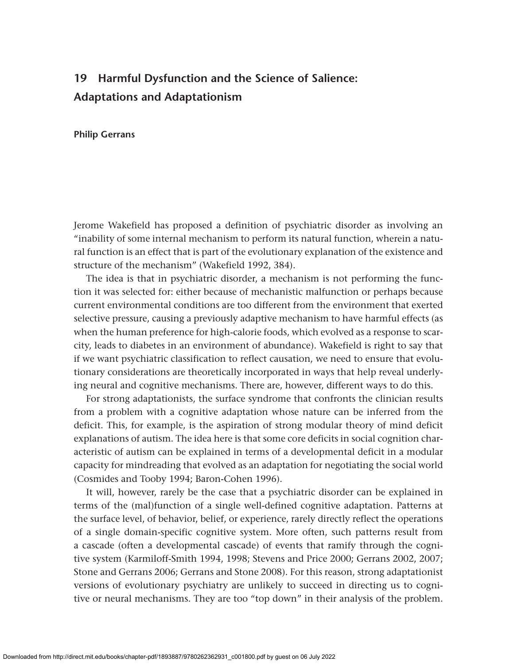### **19 Harmful Dysfunction and the Science of Salience: Adaptations and Adaptationism**

#### **Philip Gerrans**

Jerome Wakefield has proposed a definition of psychiatric disorder as involving an "inability of some internal mechanism to perform its natural function, wherein a natural function is an effect that is part of the evolutionary explanation of the existence and structure of the mechanism" (Wakefield 1992, 384).

The idea is that in psychiatric disorder, a mechanism is not performing the function it was selected for: either because of mechanistic malfunction or perhaps because current environmental conditions are too different from the environment that exerted selective pressure, causing a previously adaptive mechanism to have harmful effects (as when the human preference for high-calorie foods, which evolved as a response to scarcity, leads to diabetes in an environment of abundance). Wakefield is right to say that if we want psychiatric classification to reflect causation, we need to ensure that evolutionary considerations are theoretically incorporated in ways that help reveal underlying neural and cognitive mechanisms. There are, however, different ways to do this.

For strong adaptationists, the surface syndrome that confronts the clinician results from a problem with a cognitive adaptation whose nature can be inferred from the deficit. This, for example, is the aspiration of strong modular theory of mind deficit explanations of autism. The idea here is that some core deficits in social cognition characteristic of autism can be explained in terms of a developmental deficit in a modular capacity for mindreading that evolved as an adaptation for negotiating the social world (Cosmides and Tooby 1994; Baron-Cohen 1996).

It will, however, rarely be the case that a psychiatric disorder can be explained in terms of the (mal)function of a single well-defined cognitive adaptation. Patterns at the surface level, of behavior, belief, or experience, rarely directly reflect the operations of a single domain-specific cognitive system. More often, such patterns result from a cascade (often a developmental cascade) of events that ramify through the cognitive system (Karmiloff-Smith 1994, 1998; Stevens and Price 2000; Gerrans 2002, 2007; Stone and Gerrans 2006; Gerrans and Stone 2008). For this reason, strong adaptationist versions of evolutionary psychiatry are unlikely to succeed in directing us to cognitive or neural mechanisms. They are too "top down" in their analysis of the problem.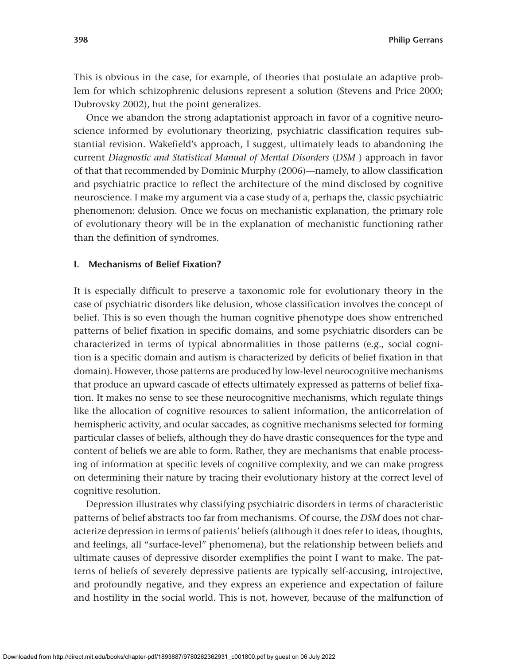**398 Philip Gerrans**

This is obvious in the case, for example, of theories that postulate an adaptive problem for which schizophrenic delusions represent a solution (Stevens and Price 2000; Dubrovsky 2002), but the point generalizes.

Once we abandon the strong adaptationist approach in favor of a cognitive neuroscience informed by evolutionary theorizing, psychiatric classification requires substantial revision. Wakefield's approach, I suggest, ultimately leads to abandoning the current *Diagnostic and Statistical Manual of Mental Disorders* (*DSM* ) approach in favor of that that recommended by Dominic Murphy (2006)—namely, to allow classification and psychiatric practice to reflect the architecture of the mind disclosed by cognitive neuroscience. I make my argument via a case study of a, perhaps the, classic psychiatric phenomenon: delusion. Once we focus on mechanistic explanation, the primary role of evolutionary theory will be in the explanation of mechanistic functioning rather than the definition of syndromes.

#### **I. Mechanisms of Belief Fixation?**

It is especially difficult to preserve a taxonomic role for evolutionary theory in the case of psychiatric disorders like delusion, whose classification involves the concept of belief. This is so even though the human cognitive phenotype does show entrenched patterns of belief fixation in specific domains, and some psychiatric disorders can be characterized in terms of typical abnormalities in those patterns (e.g., social cognition is a specific domain and autism is characterized by deficits of belief fixation in that domain). However, those patterns are produced by low-level neurocognitive mechanisms that produce an upward cascade of effects ultimately expressed as patterns of belief fixation. It makes no sense to see these neurocognitive mechanisms, which regulate things like the allocation of cognitive resources to salient information, the anticorrelation of hemispheric activity, and ocular saccades, as cognitive mechanisms selected for forming particular classes of beliefs, although they do have drastic consequences for the type and content of beliefs we are able to form. Rather, they are mechanisms that enable processing of information at specific levels of cognitive complexity, and we can make progress on determining their nature by tracing their evolutionary history at the correct level of cognitive resolution.

Depression illustrates why classifying psychiatric disorders in terms of characteristic patterns of belief abstracts too far from mechanisms. Of course, the *DSM* does not characterize depression in terms of patients' beliefs (although it does refer to ideas, thoughts, and feelings, all "surface-level" phenomena), but the relationship between beliefs and ultimate causes of depressive disorder exemplifies the point I want to make. The patterns of beliefs of severely depressive patients are typically self-accusing, introjective, and profoundly negative, and they express an experience and expectation of failure and hostility in the social world. This is not, however, because of the malfunction of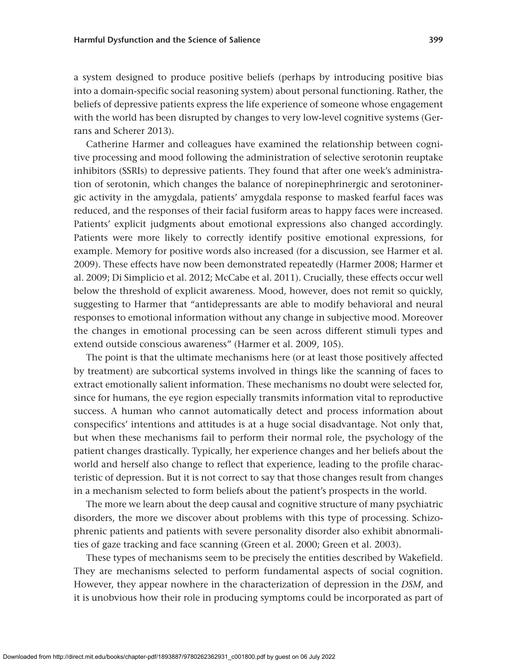a system designed to produce positive beliefs (perhaps by introducing positive bias into a domain-specific social reasoning system) about personal functioning. Rather, the beliefs of depressive patients express the life experience of someone whose engagement with the world has been disrupted by changes to very low-level cognitive systems (Gerrans and Scherer 2013).

Catherine Harmer and colleagues have examined the relationship between cognitive processing and mood following the administration of selective serotonin reuptake inhibitors (SSRIs) to depressive patients. They found that after one week's administration of serotonin, which changes the balance of norepinephrinergic and serotoninergic activity in the amygdala, patients' amygdala response to masked fearful faces was reduced, and the responses of their facial fusiform areas to happy faces were increased. Patients' explicit judgments about emotional expressions also changed accordingly. Patients were more likely to correctly identify positive emotional expressions, for example. Memory for positive words also increased (for a discussion, see Harmer et al. 2009). These effects have now been demonstrated repeatedly (Harmer 2008; Harmer et al. 2009; Di Simplicio et al. 2012; McCabe et al. 2011). Crucially, these effects occur well below the threshold of explicit awareness. Mood, however, does not remit so quickly, suggesting to Harmer that "antidepressants are able to modify behavioral and neural responses to emotional information without any change in subjective mood. Moreover the changes in emotional processing can be seen across different stimuli types and extend outside conscious awareness" (Harmer et al. 2009, 105).

The point is that the ultimate mechanisms here (or at least those positively affected by treatment) are subcortical systems involved in things like the scanning of faces to extract emotionally salient information. These mechanisms no doubt were selected for, since for humans, the eye region especially transmits information vital to reproductive success. A human who cannot automatically detect and process information about conspecifics' intentions and attitudes is at a huge social disadvantage. Not only that, but when these mechanisms fail to perform their normal role, the psychology of the patient changes drastically. Typically, her experience changes and her beliefs about the world and herself also change to reflect that experience, leading to the profile characteristic of depression. But it is not correct to say that those changes result from changes in a mechanism selected to form beliefs about the patient's prospects in the world.

The more we learn about the deep causal and cognitive structure of many psychiatric disorders, the more we discover about problems with this type of processing. Schizophrenic patients and patients with severe personality disorder also exhibit abnormalities of gaze tracking and face scanning (Green et al. 2000; Green et al. 2003).

These types of mechanisms seem to be precisely the entities described by Wakefield. They are mechanisms selected to perform fundamental aspects of social cognition. However, they appear nowhere in the characterization of depression in the *DSM*, and it is unobvious how their role in producing symptoms could be incorporated as part of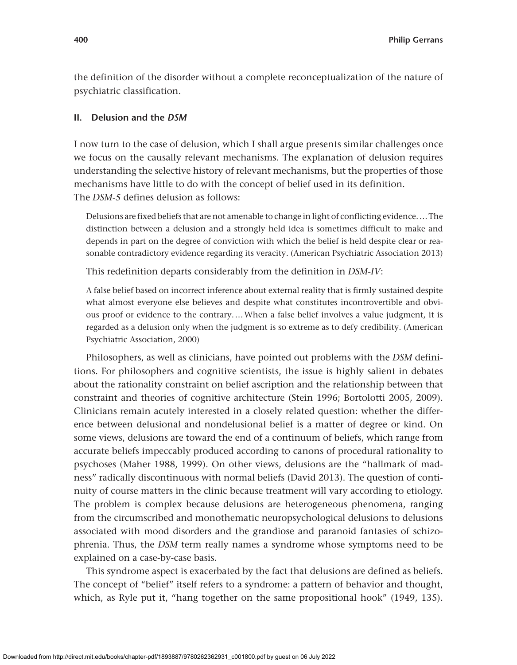the definition of the disorder without a complete reconceptualization of the nature of psychiatric classification.

#### **II. Delusion and the** *DSM*

I now turn to the case of delusion, which I shall argue presents similar challenges once we focus on the causally relevant mechanisms. The explanation of delusion requires understanding the selective history of relevant mechanisms, but the properties of those mechanisms have little to do with the concept of belief used in its definition. The *DSM-5* defines delusion as follows:

Delusions are fixed beliefs that are not amenable to change in light of conflicting evidence.…The distinction between a delusion and a strongly held idea is sometimes difficult to make and depends in part on the degree of conviction with which the belief is held despite clear or reasonable contradictory evidence regarding its veracity. (American Psychiatric Association 2013)

This redefinition departs considerably from the definition in *DSM-IV*:

A false belief based on incorrect inference about external reality that is firmly sustained despite what almost everyone else believes and despite what constitutes incontrovertible and obvious proof or evidence to the contrary.…When a false belief involves a value judgment, it is regarded as a delusion only when the judgment is so extreme as to defy credibility. (American Psychiatric Association, 2000)

Philosophers, as well as clinicians, have pointed out problems with the *DSM* definitions. For philosophers and cognitive scientists, the issue is highly salient in debates about the rationality constraint on belief ascription and the relationship between that constraint and theories of cognitive architecture (Stein 1996; Bortolotti 2005, 2009). Clinicians remain acutely interested in a closely related question: whether the difference between delusional and nondelusional belief is a matter of degree or kind. On some views, delusions are toward the end of a continuum of beliefs, which range from accurate beliefs impeccably produced according to canons of procedural rationality to psychoses (Maher 1988, 1999). On other views, delusions are the "hallmark of madness" radically discontinuous with normal beliefs (David 2013). The question of continuity of course matters in the clinic because treatment will vary according to etiology. The problem is complex because delusions are heterogeneous phenomena, ranging from the circumscribed and monothematic neuropsychological delusions to delusions associated with mood disorders and the grandiose and paranoid fantasies of schizophrenia. Thus, the *DSM* term really names a syndrome whose symptoms need to be explained on a case-by-case basis.

This syndrome aspect is exacerbated by the fact that delusions are defined as beliefs. The concept of "belief" itself refers to a syndrome: a pattern of behavior and thought, which, as Ryle put it, "hang together on the same propositional hook" (1949, 135).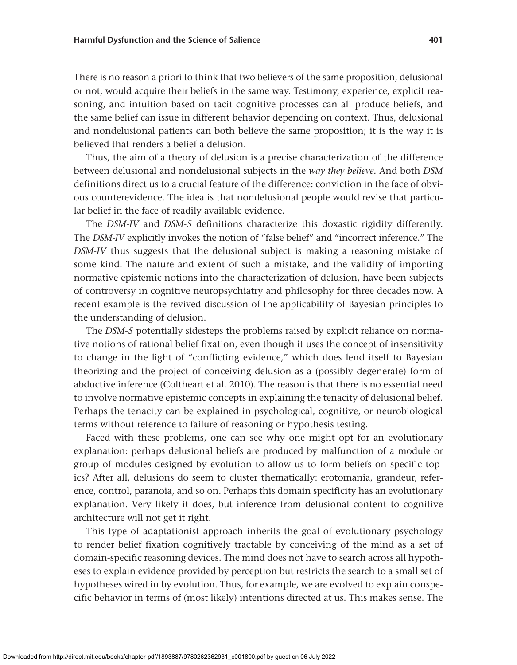There is no reason a priori to think that two believers of the same proposition, delusional or not, would acquire their beliefs in the same way. Testimony, experience, explicit reasoning, and intuition based on tacit cognitive processes can all produce beliefs, and the same belief can issue in different behavior depending on context. Thus, delusional and nondelusional patients can both believe the same proposition; it is the way it is believed that renders a belief a delusion.

Thus, the aim of a theory of delusion is a precise characterization of the difference between delusional and nondelusional subjects in the *way they believe.* And both *DSM* definitions direct us to a crucial feature of the difference: conviction in the face of obvious counterevidence. The idea is that nondelusional people would revise that particular belief in the face of readily available evidence.

The *DSM-IV* and *DSM-5* definitions characterize this doxastic rigidity differently. The *DSM-IV* explicitly invokes the notion of "false belief" and "incorrect inference." The *DSM-IV* thus suggests that the delusional subject is making a reasoning mistake of some kind. The nature and extent of such a mistake, and the validity of importing normative epistemic notions into the characterization of delusion, have been subjects of controversy in cognitive neuropsychiatry and philosophy for three decades now. A recent example is the revived discussion of the applicability of Bayesian principles to the understanding of delusion.

The *DSM-5* potentially sidesteps the problems raised by explicit reliance on normative notions of rational belief fixation, even though it uses the concept of insensitivity to change in the light of "conflicting evidence," which does lend itself to Bayesian theorizing and the project of conceiving delusion as a (possibly degenerate) form of abductive inference (Coltheart et al. 2010). The reason is that there is no essential need to involve normative epistemic concepts in explaining the tenacity of delusional belief. Perhaps the tenacity can be explained in psychological, cognitive, or neurobiological terms without reference to failure of reasoning or hypothesis testing.

Faced with these problems, one can see why one might opt for an evolutionary explanation: perhaps delusional beliefs are produced by malfunction of a module or group of modules designed by evolution to allow us to form beliefs on specific topics? After all, delusions do seem to cluster thematically: erotomania, grandeur, reference, control, paranoia, and so on. Perhaps this domain specificity has an evolutionary explanation. Very likely it does, but inference from delusional content to cognitive architecture will not get it right.

This type of adaptationist approach inherits the goal of evolutionary psychology to render belief fixation cognitively tractable by conceiving of the mind as a set of domain-specific reasoning devices. The mind does not have to search across all hypotheses to explain evidence provided by perception but restricts the search to a small set of hypotheses wired in by evolution. Thus, for example, we are evolved to explain conspecific behavior in terms of (most likely) intentions directed at us. This makes sense. The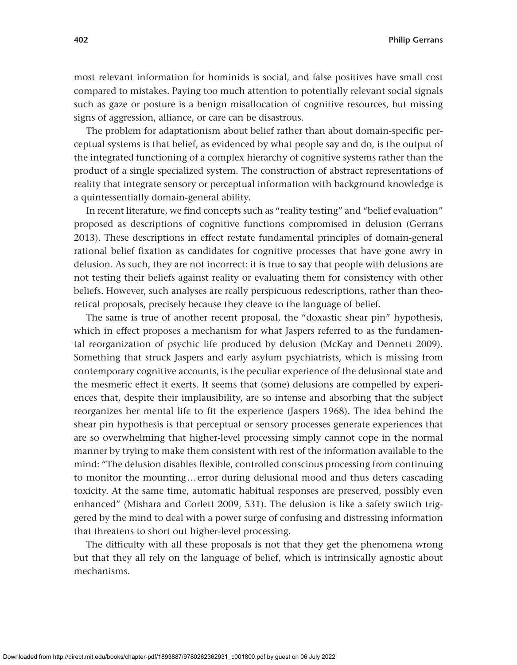most relevant information for hominids is social, and false positives have small cost compared to mistakes. Paying too much attention to potentially relevant social signals such as gaze or posture is a benign misallocation of cognitive resources, but missing signs of aggression, alliance, or care can be disastrous.

The problem for adaptationism about belief rather than about domain-specific perceptual systems is that belief, as evidenced by what people say and do, is the output of the integrated functioning of a complex hierarchy of cognitive systems rather than the product of a single specialized system. The construction of abstract representations of reality that integrate sensory or perceptual information with background knowledge is a quintessentially domain-general ability.

In recent literature, we find concepts such as "reality testing" and "belief evaluation" proposed as descriptions of cognitive functions compromised in delusion (Gerrans 2013). These descriptions in effect restate fundamental principles of domain-general rational belief fixation as candidates for cognitive processes that have gone awry in delusion. As such, they are not incorrect: it is true to say that people with delusions are not testing their beliefs against reality or evaluating them for consistency with other beliefs. However, such analyses are really perspicuous redescriptions, rather than theoretical proposals, precisely because they cleave to the language of belief.

The same is true of another recent proposal, the "doxastic shear pin" hypothesis, which in effect proposes a mechanism for what Jaspers referred to as the fundamental reorganization of psychic life produced by delusion (McKay and Dennett 2009). Something that struck Jaspers and early asylum psychiatrists, which is missing from contemporary cognitive accounts, is the peculiar experience of the delusional state and the mesmeric effect it exerts. It seems that (some) delusions are compelled by experiences that, despite their implausibility, are so intense and absorbing that the subject reorganizes her mental life to fit the experience (Jaspers 1968). The idea behind the shear pin hypothesis is that perceptual or sensory processes generate experiences that are so overwhelming that higher-level processing simply cannot cope in the normal manner by trying to make them consistent with rest of the information available to the mind: "The delusion disables flexible, controlled conscious processing from continuing to monitor the mounting…error during delusional mood and thus deters cascading toxicity. At the same time, automatic habitual responses are preserved, possibly even enhanced" (Mishara and Corlett 2009, 531). The delusion is like a safety switch triggered by the mind to deal with a power surge of confusing and distressing information that threatens to short out higher-level processing.

The difficulty with all these proposals is not that they get the phenomena wrong but that they all rely on the language of belief, which is intrinsically agnostic about mechanisms.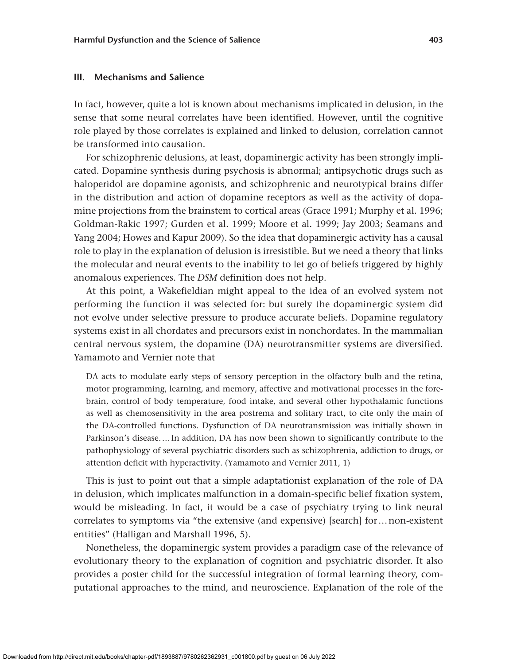#### **III. Mechanisms and Salience**

In fact, however, quite a lot is known about mechanisms implicated in delusion, in the sense that some neural correlates have been identified. However, until the cognitive role played by those correlates is explained and linked to delusion, correlation cannot be transformed into causation.

For schizophrenic delusions, at least, dopaminergic activity has been strongly implicated. Dopamine synthesis during psychosis is abnormal; antipsychotic drugs such as haloperidol are dopamine agonists, and schizophrenic and neurotypical brains differ in the distribution and action of dopamine receptors as well as the activity of dopamine projections from the brainstem to cortical areas (Grace 1991; Murphy et al. 1996; Goldman-Rakic 1997; Gurden et al. 1999; Moore et al. 1999; Jay 2003; Seamans and Yang 2004; Howes and Kapur 2009). So the idea that dopaminergic activity has a causal role to play in the explanation of delusion is irresistible. But we need a theory that links the molecular and neural events to the inability to let go of beliefs triggered by highly anomalous experiences. The *DSM* definition does not help.

At this point, a Wakefieldian might appeal to the idea of an evolved system not performing the function it was selected for: but surely the dopaminergic system did not evolve under selective pressure to produce accurate beliefs. Dopamine regulatory systems exist in all chordates and precursors exist in nonchordates. In the mammalian central nervous system, the dopamine (DA) neurotransmitter systems are diversified. Yamamoto and Vernier note that

DA acts to modulate early steps of sensory perception in the olfactory bulb and the retina, motor programming, learning, and memory, affective and motivational processes in the forebrain, control of body temperature, food intake, and several other hypothalamic functions as well as chemosensitivity in the area postrema and solitary tract, to cite only the main of the DA-controlled functions. Dysfunction of DA neurotransmission was initially shown in Parkinson's disease.…In addition, DA has now been shown to significantly contribute to the pathophysiology of several psychiatric disorders such as schizophrenia, addiction to drugs, or attention deficit with hyperactivity. (Yamamoto and Vernier 2011, 1)

This is just to point out that a simple adaptationist explanation of the role of DA in delusion, which implicates malfunction in a domain-specific belief fixation system, would be misleading. In fact, it would be a case of psychiatry trying to link neural correlates to symptoms via "the extensive (and expensive) [search] for…non-existent entities" (Halligan and Marshall 1996, 5).

Nonetheless, the dopaminergic system provides a paradigm case of the relevance of evolutionary theory to the explanation of cognition and psychiatric disorder. It also provides a poster child for the successful integration of formal learning theory, computational approaches to the mind, and neuroscience. Explanation of the role of the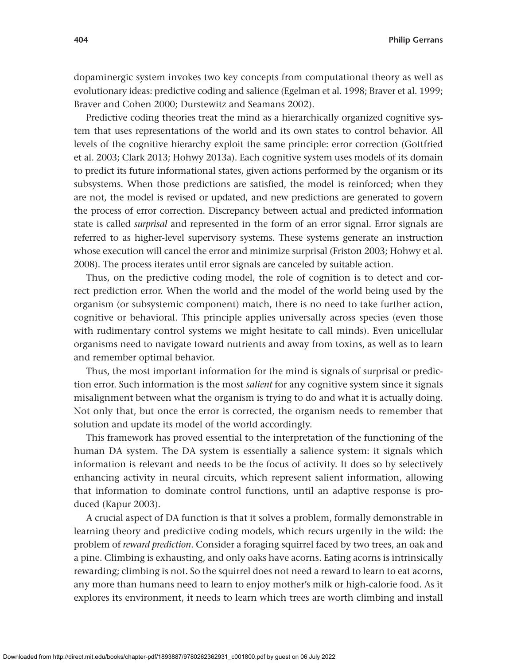**404 Philip Gerrans**

dopaminergic system invokes two key concepts from computational theory as well as evolutionary ideas: predictive coding and salience (Egelman et al. 1998; Braver et al. 1999; Braver and Cohen 2000; Durstewitz and Seamans 2002).

Predictive coding theories treat the mind as a hierarchically organized cognitive system that uses representations of the world and its own states to control behavior. All levels of the cognitive hierarchy exploit the same principle: error correction (Gottfried et al. 2003; Clark 2013; Hohwy 2013a). Each cognitive system uses models of its domain to predict its future informational states, given actions performed by the organism or its subsystems. When those predictions are satisfied, the model is reinforced; when they are not, the model is revised or updated, and new predictions are generated to govern the process of error correction. Discrepancy between actual and predicted information state is called *surprisal* and represented in the form of an error signal. Error signals are referred to as higher-level supervisory systems. These systems generate an instruction whose execution will cancel the error and minimize surprisal (Friston 2003; Hohwy et al. 2008). The process iterates until error signals are canceled by suitable action.

Thus, on the predictive coding model, the role of cognition is to detect and correct prediction error. When the world and the model of the world being used by the organism (or subsystemic component) match, there is no need to take further action, cognitive or behavioral. This principle applies universally across species (even those with rudimentary control systems we might hesitate to call minds). Even unicellular organisms need to navigate toward nutrients and away from toxins, as well as to learn and remember optimal behavior.

Thus, the most important information for the mind is signals of surprisal or prediction error. Such information is the most *salient* for any cognitive system since it signals misalignment between what the organism is trying to do and what it is actually doing. Not only that, but once the error is corrected, the organism needs to remember that solution and update its model of the world accordingly.

This framework has proved essential to the interpretation of the functioning of the human DA system. The DA system is essentially a salience system: it signals which information is relevant and needs to be the focus of activity. It does so by selectively enhancing activity in neural circuits, which represent salient information, allowing that information to dominate control functions, until an adaptive response is produced (Kapur 2003).

A crucial aspect of DA function is that it solves a problem, formally demonstrable in learning theory and predictive coding models, which recurs urgently in the wild: the problem of *reward prediction*. Consider a foraging squirrel faced by two trees, an oak and a pine. Climbing is exhausting, and only oaks have acorns. Eating acorns is intrinsically rewarding; climbing is not. So the squirrel does not need a reward to learn to eat acorns, any more than humans need to learn to enjoy mother's milk or high-calorie food. As it explores its environment, it needs to learn which trees are worth climbing and install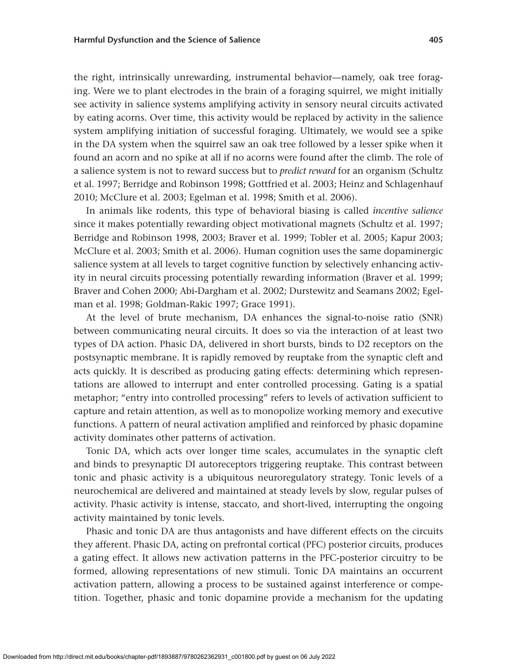the right, intrinsically unrewarding, instrumental behavior—namely, oak tree foraging. Were we to plant electrodes in the brain of a foraging squirrel, we might initially see activity in salience systems amplifying activity in sensory neural circuits activated by eating acorns. Over time, this activity would be replaced by activity in the salience system amplifying initiation of successful foraging. Ultimately, we would see a spike in the DA system when the squirrel saw an oak tree followed by a lesser spike when it found an acorn and no spike at all if no acorns were found after the climb. The role of a salience system is not to reward success but to *predict reward* for an organism (Schultz et al. 1997; Berridge and Robinson 1998; Gottfried et al. 2003; Heinz and Schlagenhauf 2010; McClure et al. 2003; Egelman et al. 1998; Smith et al. 2006).

In animals like rodents, this type of behavioral biasing is called *incentive salience* since it makes potentially rewarding object motivational magnets (Schultz et al. 1997; Berridge and Robinson 1998, 2003; Braver et al. 1999; Tobler et al. 2005; Kapur 2003; McClure et al. 2003; Smith et al. 2006). Human cognition uses the same dopaminergic salience system at all levels to target cognitive function by selectively enhancing activity in neural circuits processing potentially rewarding information (Braver et al. 1999; Braver and Cohen 2000; Abi-Dargham et al. 2002; Durstewitz and Seamans 2002; Egelman et al. 1998; Goldman-Rakic 1997; Grace 1991).

At the level of brute mechanism, DA enhances the signal-to-noise ratio (SNR) between communicating neural circuits. It does so via the interaction of at least two types of DA action. Phasic DA, delivered in short bursts, binds to D2 receptors on the postsynaptic membrane. It is rapidly removed by reuptake from the synaptic cleft and acts quickly. It is described as producing gating effects: determining which representations are allowed to interrupt and enter controlled processing. Gating is a spatial metaphor; "entry into controlled processing" refers to levels of activation sufficient to capture and retain attention, as well as to monopolize working memory and executive functions. A pattern of neural activation amplified and reinforced by phasic dopamine activity dominates other patterns of activation.

Tonic DA, which acts over longer time scales, accumulates in the synaptic cleft and binds to presynaptic DI autoreceptors triggering reuptake. This contrast between tonic and phasic activity is a ubiquitous neuroregulatory strategy. Tonic levels of a neurochemical are delivered and maintained at steady levels by slow, regular pulses of activity. Phasic activity is intense, staccato, and short-lived, interrupting the ongoing activity maintained by tonic levels.

Phasic and tonic DA are thus antagonists and have different effects on the circuits they afferent. Phasic DA, acting on prefrontal cortical (PFC) posterior circuits, produces a gating effect. It allows new activation patterns in the PFC-posterior circuitry to be formed, allowing representations of new stimuli. Tonic DA maintains an occurrent activation pattern, allowing a process to be sustained against interference or competition. Together, phasic and tonic dopamine provide a mechanism for the updating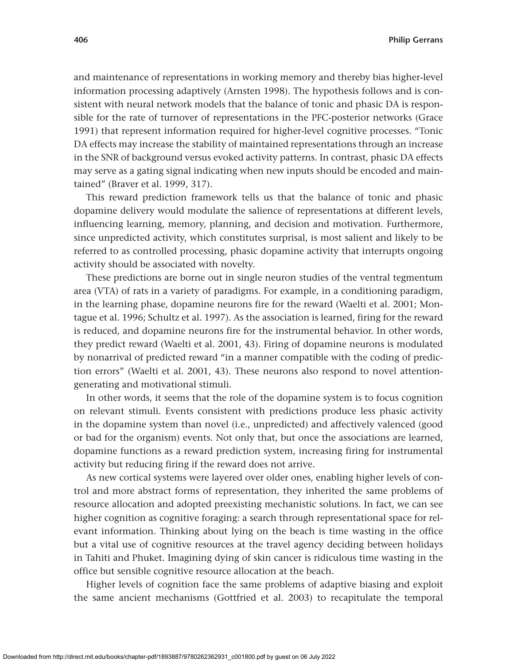**406 Philip Gerrans**

and maintenance of representations in working memory and thereby bias higher-level information processing adaptively (Arnsten 1998). The hypothesis follows and is consistent with neural network models that the balance of tonic and phasic DA is responsible for the rate of turnover of representations in the PFC-posterior networks (Grace 1991) that represent information required for higher-level cognitive processes. "Tonic DA effects may increase the stability of maintained representations through an increase in the SNR of background versus evoked activity patterns. In contrast, phasic DA effects may serve as a gating signal indicating when new inputs should be encoded and maintained" (Braver et al. 1999, 317).

This reward prediction framework tells us that the balance of tonic and phasic dopamine delivery would modulate the salience of representations at different levels, influencing learning, memory, planning, and decision and motivation. Furthermore, since unpredicted activity, which constitutes surprisal, is most salient and likely to be referred to as controlled processing, phasic dopamine activity that interrupts ongoing activity should be associated with novelty.

These predictions are borne out in single neuron studies of the ventral tegmentum area (VTA) of rats in a variety of paradigms. For example, in a conditioning paradigm, in the learning phase, dopamine neurons fire for the reward (Waelti et al. 2001; Montague et al. 1996; Schultz et al. 1997). As the association is learned, firing for the reward is reduced, and dopamine neurons fire for the instrumental behavior. In other words, they predict reward (Waelti et al. 2001, 43). Firing of dopamine neurons is modulated by nonarrival of predicted reward "in a manner compatible with the coding of prediction errors" (Waelti et al. 2001, 43). These neurons also respond to novel attentiongenerating and motivational stimuli.

In other words, it seems that the role of the dopamine system is to focus cognition on relevant stimuli. Events consistent with predictions produce less phasic activity in the dopamine system than novel (i.e., unpredicted) and affectively valenced (good or bad for the organism) events. Not only that, but once the associations are learned, dopamine functions as a reward prediction system, increasing firing for instrumental activity but reducing firing if the reward does not arrive.

As new cortical systems were layered over older ones, enabling higher levels of control and more abstract forms of representation, they inherited the same problems of resource allocation and adopted preexisting mechanistic solutions. In fact, we can see higher cognition as cognitive foraging: a search through representational space for relevant information. Thinking about lying on the beach is time wasting in the office but a vital use of cognitive resources at the travel agency deciding between holidays in Tahiti and Phuket. Imagining dying of skin cancer is ridiculous time wasting in the office but sensible cognitive resource allocation at the beach.

Higher levels of cognition face the same problems of adaptive biasing and exploit the same ancient mechanisms (Gottfried et al. 2003) to recapitulate the temporal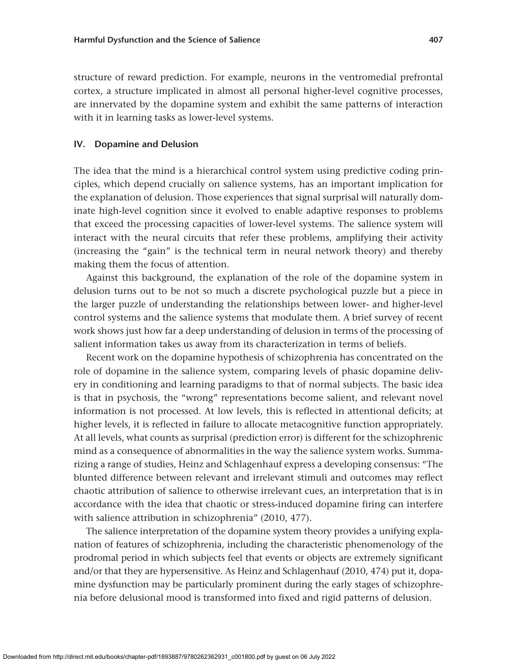structure of reward prediction. For example, neurons in the ventromedial prefrontal cortex, a structure implicated in almost all personal higher-level cognitive processes, are innervated by the dopamine system and exhibit the same patterns of interaction with it in learning tasks as lower-level systems.

#### **IV. Dopamine and Delusion**

The idea that the mind is a hierarchical control system using predictive coding principles, which depend crucially on salience systems, has an important implication for the explanation of delusion. Those experiences that signal surprisal will naturally dominate high-level cognition since it evolved to enable adaptive responses to problems that exceed the processing capacities of lower-level systems. The salience system will interact with the neural circuits that refer these problems, amplifying their activity (increasing the "gain" is the technical term in neural network theory) and thereby making them the focus of attention.

Against this background, the explanation of the role of the dopamine system in delusion turns out to be not so much a discrete psychological puzzle but a piece in the larger puzzle of understanding the relationships between lower- and higher-level control systems and the salience systems that modulate them. A brief survey of recent work shows just how far a deep understanding of delusion in terms of the processing of salient information takes us away from its characterization in terms of beliefs.

Recent work on the dopamine hypothesis of schizophrenia has concentrated on the role of dopamine in the salience system, comparing levels of phasic dopamine delivery in conditioning and learning paradigms to that of normal subjects. The basic idea is that in psychosis, the "wrong" representations become salient, and relevant novel information is not processed. At low levels, this is reflected in attentional deficits; at higher levels, it is reflected in failure to allocate metacognitive function appropriately. At all levels, what counts as surprisal (prediction error) is different for the schizophrenic mind as a consequence of abnormalities in the way the salience system works. Summarizing a range of studies, Heinz and Schlagenhauf express a developing consensus: "The blunted difference between relevant and irrelevant stimuli and outcomes may reflect chaotic attribution of salience to otherwise irrelevant cues, an interpretation that is in accordance with the idea that chaotic or stress-induced dopamine firing can interfere with salience attribution in schizophrenia" (2010, 477).

The salience interpretation of the dopamine system theory provides a unifying explanation of features of schizophrenia, including the characteristic phenomenology of the prodromal period in which subjects feel that events or objects are extremely significant and/or that they are hypersensitive. As Heinz and Schlagenhauf (2010, 474) put it, dopamine dysfunction may be particularly prominent during the early stages of schizophrenia before delusional mood is transformed into fixed and rigid patterns of delusion.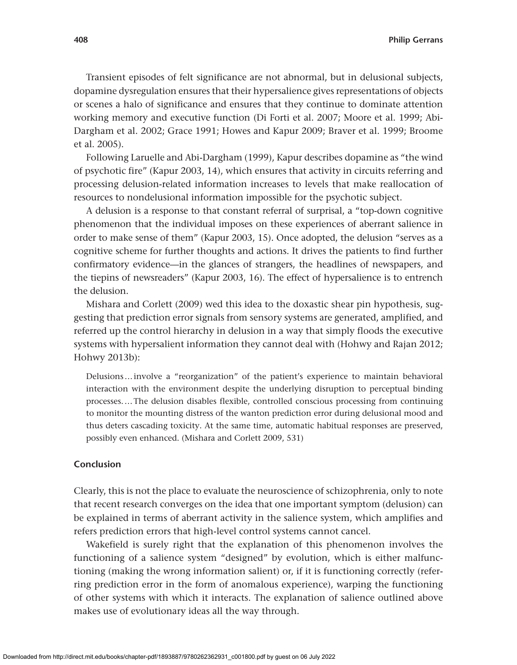Transient episodes of felt significance are not abnormal, but in delusional subjects, dopamine dysregulation ensures that their hypersalience gives representations of objects or scenes a halo of significance and ensures that they continue to dominate attention working memory and executive function (Di Forti et al. 2007; Moore et al. 1999; Abi-Dargham et al. 2002; Grace 1991; Howes and Kapur 2009; Braver et al. 1999; Broome et al. 2005).

Following Laruelle and Abi-Dargham (1999), Kapur describes dopamine as "the wind of psychotic fire" (Kapur 2003, 14), which ensures that activity in circuits referring and processing delusion-related information increases to levels that make reallocation of resources to nondelusional information impossible for the psychotic subject.

A delusion is a response to that constant referral of surprisal, a "top-down cognitive phenomenon that the individual imposes on these experiences of aberrant salience in order to make sense of them" (Kapur 2003, 15). Once adopted, the delusion "serves as a cognitive scheme for further thoughts and actions. It drives the patients to find further confirmatory evidence—in the glances of strangers, the headlines of newspapers, and the tiepins of newsreaders" (Kapur 2003, 16). The effect of hypersalience is to entrench the delusion.

Mishara and Corlett (2009) wed this idea to the doxastic shear pin hypothesis, suggesting that prediction error signals from sensory systems are generated, amplified, and referred up the control hierarchy in delusion in a way that simply floods the executive systems with hypersalient information they cannot deal with (Hohwy and Rajan 2012; Hohwy 2013b):

Delusions…involve a "reorganization" of the patient's experience to maintain behavioral interaction with the environment despite the underlying disruption to perceptual binding processes.…The delusion disables flexible, controlled conscious processing from continuing to monitor the mounting distress of the wanton prediction error during delusional mood and thus deters cascading toxicity. At the same time, automatic habitual responses are preserved, possibly even enhanced. (Mishara and Corlett 2009, 531)

#### **Conclusion**

Clearly, this is not the place to evaluate the neuroscience of schizophrenia, only to note that recent research converges on the idea that one important symptom (delusion) can be explained in terms of aberrant activity in the salience system, which amplifies and refers prediction errors that high-level control systems cannot cancel.

Wakefield is surely right that the explanation of this phenomenon involves the functioning of a salience system "designed" by evolution, which is either malfunctioning (making the wrong information salient) or, if it is functioning correctly (referring prediction error in the form of anomalous experience), warping the functioning of other systems with which it interacts. The explanation of salience outlined above makes use of evolutionary ideas all the way through.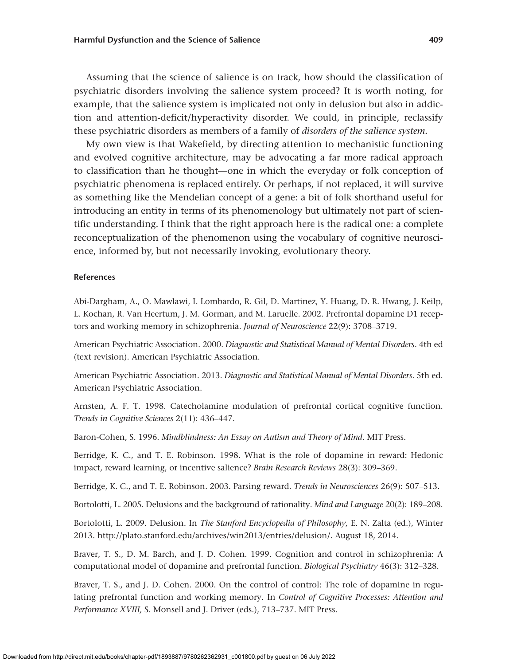Assuming that the science of salience is on track, how should the classification of psychiatric disorders involving the salience system proceed? It is worth noting, for example, that the salience system is implicated not only in delusion but also in addiction and attention-deficit/hyperactivity disorder. We could, in principle, reclassify these psychiatric disorders as members of a family of *disorders of the salience system.*

My own view is that Wakefield, by directing attention to mechanistic functioning and evolved cognitive architecture, may be advocating a far more radical approach to classification than he thought—one in which the everyday or folk conception of psychiatric phenomena is replaced entirely. Or perhaps, if not replaced, it will survive as something like the Mendelian concept of a gene: a bit of folk shorthand useful for introducing an entity in terms of its phenomenology but ultimately not part of scientific understanding. I think that the right approach here is the radical one: a complete reconceptualization of the phenomenon using the vocabulary of cognitive neuroscience, informed by, but not necessarily invoking, evolutionary theory.

#### **References**

Abi-Dargham, A., O. Mawlawi, I. Lombardo, R. Gil, D. Martinez, Y. Huang, D. R. Hwang, J. Keilp, L. Kochan, R. Van Heertum, J. M. Gorman, and M. Laruelle. 2002. Prefrontal dopamine D1 receptors and working memory in schizophrenia. *Journal of Neuroscience* 22(9): 3708–3719.

American Psychiatric Association. 2000. *Diagnostic and Statistical Manual of Mental Disorders*. 4th ed (text revision). American Psychiatric Association.

American Psychiatric Association. 2013. *Diagnostic and Statistical Manual of Mental Disorders*. 5th ed. American Psychiatric Association.

Arnsten, A. F. T. 1998. Catecholamine modulation of prefrontal cortical cognitive function. *Trends in Cognitive Sciences* 2(11): 436–447.

Baron-Cohen, S. 1996. *Mindblindness: An Essay on Autism and Theory of Mind.* MIT Press.

Berridge, K. C., and T. E. Robinson. 1998. What is the role of dopamine in reward: Hedonic impact, reward learning, or incentive salience? *Brain Research Reviews* 28(3): 309–369.

Berridge, K. C., and T. E. Robinson. 2003. Parsing reward. *Trends in Neurosciences* 26(9): 507–513.

Bortolotti, L. 2005. Delusions and the background of rationality. *Mind and Language* 20(2): 189–208.

Bortolotti, L. 2009. Delusion. In *The Stanford Encyclopedia of Philosophy,* E. N. Zalta (ed.), Winter 2013. <http://plato.stanford.edu/archives/win2013/entries/delusion/>. August 18, 2014.

Braver, T. S., D. M. Barch, and J. D. Cohen. 1999. Cognition and control in schizophrenia: A computational model of dopamine and prefrontal function. *Biological Psychiatry* 46(3): 312–328.

Braver, T. S., and J. D. Cohen. 2000. On the control of control: The role of dopamine in regulating prefrontal function and working memory. In *Control of Cognitive Processes: Attention and Performance XVIII,* S. Monsell and J. Driver (eds.), 713–737. MIT Press.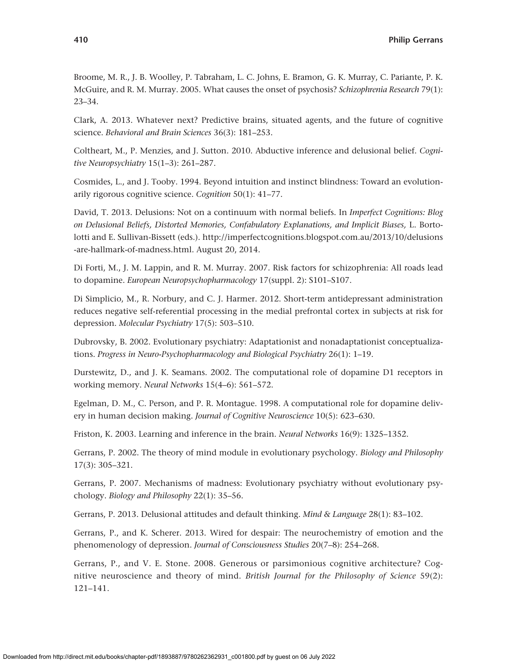Broome, M. R., J. B. Woolley, P. Tabraham, L. C. Johns, E. Bramon, G. K. Murray, C. Pariante, P. K. McGuire, and R. M. Murray. 2005. What causes the onset of psychosis? *Schizophrenia Research* 79(1): 23–34.

Clark, A. 2013. Whatever next? Predictive brains, situated agents, and the future of cognitive science. *Behavioral and Brain Sciences* 36(3): 181–253.

Coltheart, M., P. Menzies, and J. Sutton. 2010. Abductive inference and delusional belief. *Cognitive Neuropsychiatry* 15(1–3): 261–287.

Cosmides, L., and J. Tooby. 1994. Beyond intuition and instinct blindness: Toward an evolutionarily rigorous cognitive science. *Cognition* 50(1): 41–77.

David, T. 2013. Delusions: Not on a continuum with normal beliefs. In *Imperfect Cognitions: Blog on Delusional Beliefs, Distorted Memories, Confabulatory Explanations, and Implicit Biases,* L. Bortolotti and E. Sullivan-Bissett (eds.). [http://imperfectcognitions.blogspot.com.au/2013/10/delusions](http://imperfectcognitions.blogspot.com.au/2013/10/delusions-are-hallmark-of-madness.html) [-are-hallmark-of-madness.html](http://imperfectcognitions.blogspot.com.au/2013/10/delusions-are-hallmark-of-madness.html). August 20, 2014.

Di Forti, M., J. M. Lappin, and R. M. Murray. 2007. Risk factors for schizophrenia: All roads lead to dopamine. *European Neuropsychopharmacology* 17(suppl. 2): S101–S107.

Di Simplicio, M., R. Norbury, and C. J. Harmer. 2012. Short-term antidepressant administration reduces negative self-referential processing in the medial prefrontal cortex in subjects at risk for depression. *Molecular Psychiatry* 17(5): 503–510.

Dubrovsky, B. 2002. Evolutionary psychiatry: Adaptationist and nonadaptationist conceptualizations. *Progress in Neuro-Psychopharmacology and Biological Psychiatry* 26(1): 1–19.

Durstewitz, D., and J. K. Seamans. 2002. The computational role of dopamine D1 receptors in working memory. *Neural Networks* 15(4–6): 561–572.

Egelman, D. M., C. Person, and P. R. Montague. 1998. A computational role for dopamine delivery in human decision making. *Journal of Cognitive Neuroscience* 10(5): 623–630.

Friston, K. 2003. Learning and inference in the brain. *Neural Networks* 16(9): 1325–1352.

Gerrans, P. 2002. The theory of mind module in evolutionary psychology. *Biology and Philosophy* 17(3): 305–321.

Gerrans, P. 2007. Mechanisms of madness: Evolutionary psychiatry without evolutionary psychology. *Biology and Philosophy* 22(1): 35–56.

Gerrans, P. 2013. Delusional attitudes and default thinking. *Mind & Language* 28(1): 83–102.

Gerrans, P., and K. Scherer. 2013. Wired for despair: The neurochemistry of emotion and the phenomenology of depression. *Journal of Consciousness Studies* 20(7–8): 254–268.

Gerrans, P., and V. E. Stone. 2008. Generous or parsimonious cognitive architecture? Cognitive neuroscience and theory of mind. *British Journal for the Philosophy of Science* 59(2): 121–141.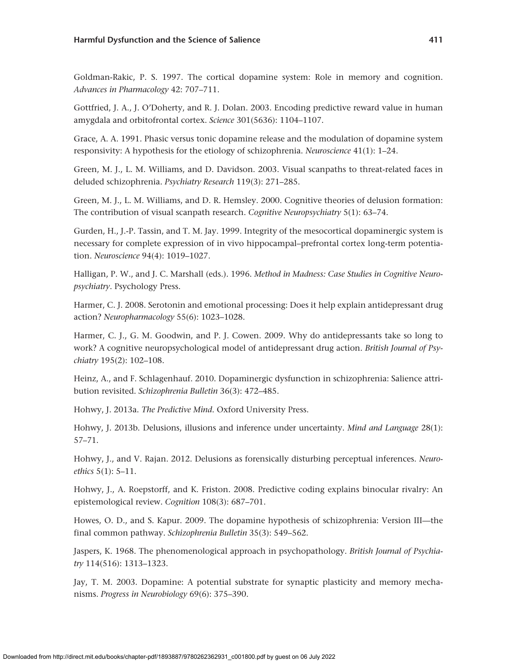Goldman-Rakic, P. S. 1997. The cortical dopamine system: Role in memory and cognition. *Advances in Pharmacology* 42: 707–711.

Gottfried, J. A., J. O'Doherty, and R. J. Dolan. 2003. Encoding predictive reward value in human amygdala and orbitofrontal cortex. *Science* 301(5636): 1104–1107.

Grace, A. A. 1991. Phasic versus tonic dopamine release and the modulation of dopamine system responsivity: A hypothesis for the etiology of schizophrenia. *Neuroscience* 41(1): 1–24.

Green, M. J., L. M. Williams, and D. Davidson. 2003. Visual scanpaths to threat-related faces in deluded schizophrenia. *Psychiatry Research* 119(3): 271–285.

Green, M. J., L. M. Williams, and D. R. Hemsley. 2000. Cognitive theories of delusion formation: The contribution of visual scanpath research. *Cognitive Neuropsychiatry* 5(1): 63–74.

Gurden, H., J.-P. Tassin, and T. M. Jay. 1999. Integrity of the mesocortical dopaminergic system is necessary for complete expression of in vivo hippocampal–prefrontal cortex long-term potentiation. *Neuroscience* 94(4): 1019–1027.

Halligan, P. W., and J. C. Marshall (eds.). 1996. *Method in Madness: Case Studies in Cognitive Neuropsychiatry*. Psychology Press.

Harmer, C. J. 2008. Serotonin and emotional processing: Does it help explain antidepressant drug action? *Neuropharmacology* 55(6): 1023–1028.

Harmer, C. J., G. M. Goodwin, and P. J. Cowen. 2009. Why do antidepressants take so long to work? A cognitive neuropsychological model of antidepressant drug action. *British Journal of Psychiatry* 195(2): 102–108.

Heinz, A., and F. Schlagenhauf. 2010. Dopaminergic dysfunction in schizophrenia: Salience attribution revisited. *Schizophrenia Bulletin* 36(3): 472–485.

Hohwy, J. 2013a. *The Predictive Mind*. Oxford University Press.

Hohwy, J. 2013b. Delusions, illusions and inference under uncertainty. *Mind and Language* 28(1): 57–71.

Hohwy, J., and V. Rajan. 2012. Delusions as forensically disturbing perceptual inferences. *Neuroethics* 5(1): 5–11.

Hohwy, J., A. Roepstorff, and K. Friston. 2008. Predictive coding explains binocular rivalry: An epistemological review. *Cognition* 108(3): 687–701.

Howes, O. D., and S. Kapur. 2009. The dopamine hypothesis of schizophrenia: Version III—the final common pathway. *Schizophrenia Bulletin* 35(3): 549–562.

Jaspers, K. 1968. The phenomenological approach in psychopathology. *British Journal of Psychiatry* 114(516): 1313–1323.

Jay, T. M. 2003. Dopamine: A potential substrate for synaptic plasticity and memory mechanisms. *Progress in Neurobiology* 69(6): 375–390.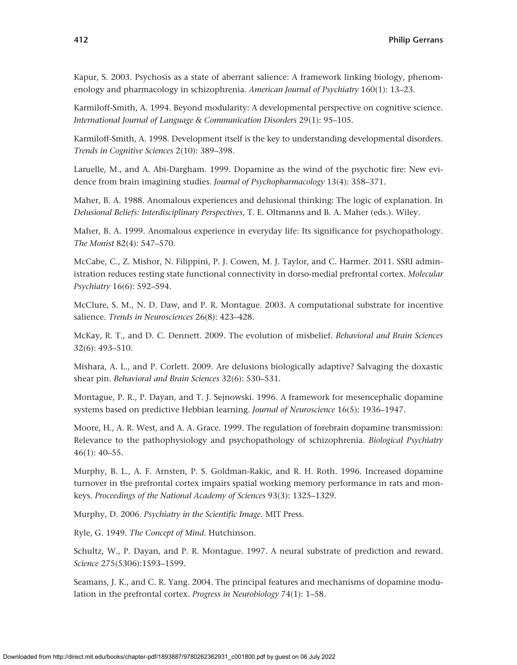Kapur, S. 2003. Psychosis as a state of aberrant salience: A framework linking biology, phenomenology and pharmacology in schizophrenia. *American Journal of Psychiatry* 160(1): 13–23.

Karmiloff-Smith, A. 1994. Beyond modularity: A developmental perspective on cognitive science. *International Journal of Language & Communication Disorders* 29(1): 95–105.

Karmiloff-Smith, A. 1998. Development itself is the key to understanding developmental disorders. *Trends in Cognitive Sciences* 2(10): 389–398.

Laruelle, M., and A. Abi-Dargham. 1999. Dopamine as the wind of the psychotic fire: New evidence from brain imagining studies. *Journal of Psychopharmacology* 13(4): 358–371.

Maher, B. A. 1988. Anomalous experiences and delusional thinking: The logic of explanation. In *Delusional Beliefs: Interdisciplinary Perspectives,* T. E. Oltmanns and B. A. Maher (eds.). Wiley.

Maher, B. A. 1999. Anomalous experience in everyday life: Its significance for psychopathology. *The Monist* 82(4): 547–570.

McCabe, C., Z. Mishor, N. Filippini, P. J. Cowen, M. J. Taylor, and C. Harmer. 2011. SSRI administration reduces resting state functional connectivity in dorso-medial prefrontal cortex. *Molecular Psychiatry* 16(6): 592–594.

McClure, S. M., N. D. Daw, and P. R. Montague. 2003. A computational substrate for incentive salience. *Trends in Neurosciences* 26(8): 423–428.

McKay, R. T., and D. C. Dennett. 2009. The evolution of misbelief. *Behavioral and Brain Sciences* 32(6): 493–510.

Mishara, A. L., and P. Corlett. 2009. Are delusions biologically adaptive? Salvaging the doxastic shear pin. *Behavioral and Brain Sciences* 32(6): 530–531.

Montague, P. R., P. Dayan, and T. J. Sejnowski. 1996. A framework for mesencephalic dopamine systems based on predictive Hebbian learning. *Journal of Neuroscience* 16(5): 1936–1947.

Moore, H., A. R. West, and A. A. Grace. 1999. The regulation of forebrain dopamine transmission: Relevance to the pathophysiology and psychopathology of schizophrenia. *Biological Psychiatry* 46(1): 40–55.

Murphy, B. L., A. F. Arnsten, P. S. Goldman-Rakic, and R. H. Roth. 1996. Increased dopamine turnover in the prefrontal cortex impairs spatial working memory performance in rats and monkeys. *Proceedings of the National Academy of Sciences* 93(3): 1325–1329.

Murphy, D. 2006. *Psychiatry in the Scientific Image.* MIT Press.

Ryle, G. 1949. *The Concept of Mind.* Hutchinson.

Schultz, W., P. Dayan, and P. R. Montague. 1997. A neural substrate of prediction and reward. *Science* 275(5306):1593–1599.

Seamans, J. K., and C. R. Yang. 2004. The principal features and mechanisms of dopamine modulation in the prefrontal cortex. *Progress in Neurobiology* 74(1): 1–58.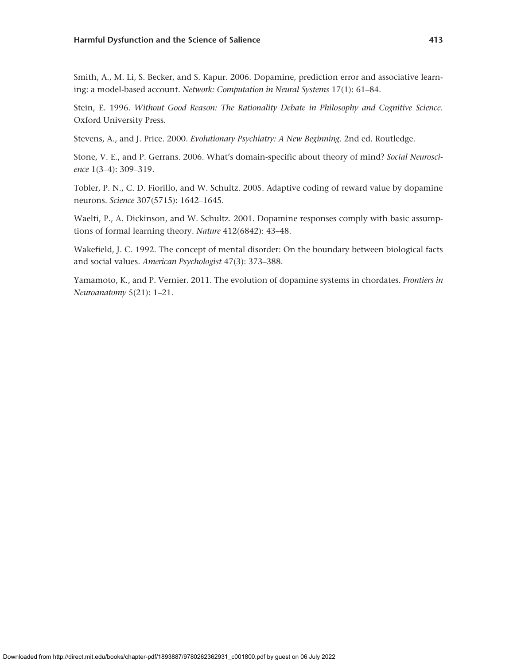Smith, A., M. Li, S. Becker, and S. Kapur. 2006. Dopamine, prediction error and associative learning: a model-based account. *Network: Computation in Neural Systems* 17(1): 61–84.

Stein, E. 1996. *Without Good Reason: The Rationality Debate in Philosophy and Cognitive Science*. Oxford University Press.

Stevens, A., and J. Price. 2000. *Evolutionary Psychiatry: A New Beginning*. 2nd ed. Routledge.

Stone, V. E., and P. Gerrans. 2006. What's domain-specific about theory of mind? *Social Neuroscience* 1(3–4): 309–319.

Tobler, P. N., C. D. Fiorillo, and W. Schultz. 2005. Adaptive coding of reward value by dopamine neurons. *Science* 307(5715): 1642–1645.

Waelti, P., A. Dickinson, and W. Schultz. 2001. Dopamine responses comply with basic assumptions of formal learning theory. *Nature* 412(6842): 43–48.

Wakefield, J. C. 1992. The concept of mental disorder: On the boundary between biological facts and social values. *American Psychologist* 47(3): 373–388.

Yamamoto, K., and P. Vernier. 2011. The evolution of dopamine systems in chordates. *Frontiers in Neuroanatomy* 5(21): 1–21.